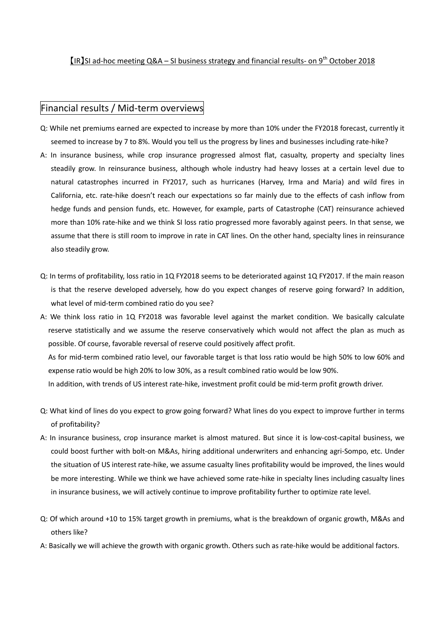$[IR]$ SI ad-hoc meeting Q&A – SI business strategy and financial results- on 9<sup>th</sup> October 2018

## Financial results / Mid-term overviews

- Q: While net premiums earned are expected to increase by more than 10% under the FY2018 forecast, currently it seemed to increase by 7 to 8%. Would you tell us the progress by lines and businesses including rate-hike?
- A: In insurance business, while crop insurance progressed almost flat, casualty, property and specialty lines steadily grow. In reinsurance business, although whole industry had heavy losses at a certain level due to natural catastrophes incurred in FY2017, such as hurricanes (Harvey, Irma and Maria) and wild fires in California, etc. rate-hike doesn't reach our expectations so far mainly due to the effects of cash inflow from hedge funds and pension funds, etc. However, for example, parts of Catastrophe (CAT) reinsurance achieved more than 10% rate-hike and we think SI loss ratio progressed more favorably against peers. In that sense, we assume that there is still room to improve in rate in CAT lines. On the other hand, specialty lines in reinsurance also steadily grow.
- Q: In terms of profitability, loss ratio in 1Q FY2018 seems to be deteriorated against 1Q FY2017. If the main reason is that the reserve developed adversely, how do you expect changes of reserve going forward? In addition, what level of mid-term combined ratio do you see?
- A: We think loss ratio in 1Q FY2018 was favorable level against the market condition. We basically calculate reserve statistically and we assume the reserve conservatively which would not affect the plan as much as possible. Of course, favorable reversal of reserve could positively affect profit. As for mid-term combined ratio level, our favorable target is that loss ratio would be high 50% to low 60% and expense ratio would be high 20% to low 30%, as a result combined ratio would be low 90%. In addition, with trends of US interest rate-hike, investment profit could be mid-term profit growth driver.
- Q: What kind of lines do you expect to grow going forward? What lines do you expect to improve further in terms of profitability?
- A: In insurance business, crop insurance market is almost matured. But since it is low-cost-capital business, we could boost further with bolt-on M&As, hiring additional underwriters and enhancing agri-Sompo, etc. Under the situation of US interest rate-hike, we assume casualty lines profitability would be improved, the lines would be more interesting. While we think we have achieved some rate-hike in specialty lines including casualty lines in insurance business, we will actively continue to improve profitability further to optimize rate level.
- Q: Of which around +10 to 15% target growth in premiums, what is the breakdown of organic growth, M&As and others like?
- A: Basically we will achieve the growth with organic growth. Others such as rate-hike would be additional factors.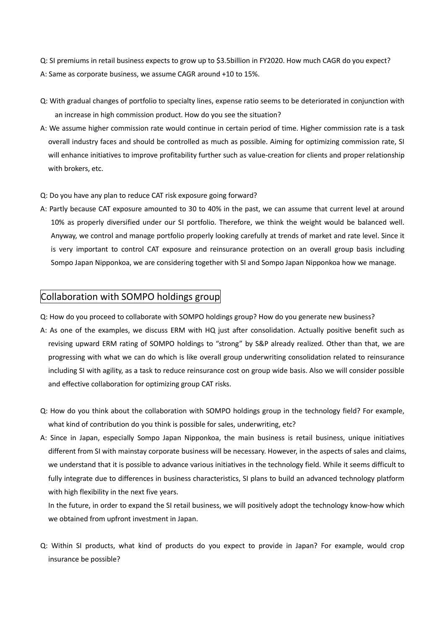Q: SI premiums in retail business expects to grow up to \$3.5billion in FY2020. How much CAGR do you expect? A: Same as corporate business, we assume CAGR around +10 to 15%.

- Q: With gradual changes of portfolio to specialty lines, expense ratio seems to be deteriorated in conjunction with an increase in high commission product. How do you see the situation?
- A: We assume higher commission rate would continue in certain period of time. Higher commission rate is a task overall industry faces and should be controlled as much as possible. Aiming for optimizing commission rate, SI will enhance initiatives to improve profitability further such as value-creation for clients and proper relationship with brokers, etc.
- Q: Do you have any plan to reduce CAT risk exposure going forward?
- A: Partly because CAT exposure amounted to 30 to 40% in the past, we can assume that current level at around 10% as properly diversified under our SI portfolio. Therefore, we think the weight would be balanced well. Anyway, we control and manage portfolio properly looking carefully at trends of market and rate level. Since it is very important to control CAT exposure and reinsurance protection on an overall group basis including Sompo Japan Nipponkoa, we are considering together with SI and Sompo Japan Nipponkoa how we manage.

## Collaboration with SOMPO holdings group

Q: How do you proceed to collaborate with SOMPO holdings group? How do you generate new business?

- A: As one of the examples, we discuss ERM with HQ just after consolidation. Actually positive benefit such as revising upward ERM rating of SOMPO holdings to "strong" by S&P already realized. Other than that, we are progressing with what we can do which is like overall group underwriting consolidation related to reinsurance including SI with agility, as a task to reduce reinsurance cost on group wide basis. Also we will consider possible and effective collaboration for optimizing group CAT risks.
- Q: How do you think about the collaboration with SOMPO holdings group in the technology field? For example, what kind of contribution do you think is possible for sales, underwriting, etc?
- A: Since in Japan, especially Sompo Japan Nipponkoa, the main business is retail business, unique initiatives different from SI with mainstay corporate business will be necessary. However, in the aspects of sales and claims, we understand that it is possible to advance various initiatives in the technology field. While it seems difficult to fully integrate due to differences in business characteristics, SI plans to build an advanced technology platform with high flexibility in the next five years.

In the future, in order to expand the SI retail business, we will positively adopt the technology know-how which we obtained from upfront investment in Japan.

Q: Within SI products, what kind of products do you expect to provide in Japan? For example, would crop insurance be possible?